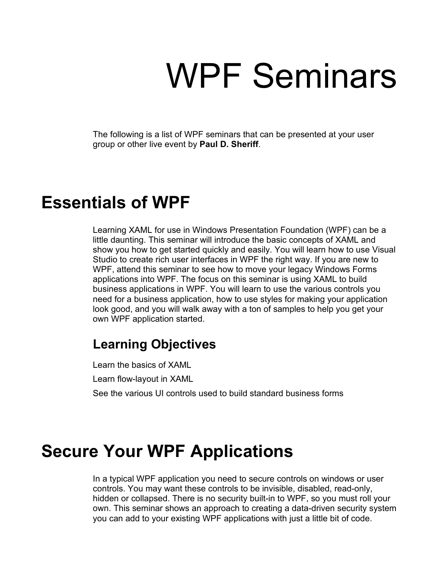# WPF Seminars

The following is a list of WPF seminars that can be presented at your user group or other live event by **Paul D. Sheriff**.

## **Essentials of WPF**

Learning XAML for use in Windows Presentation Foundation (WPF) can be a little daunting. This seminar will introduce the basic concepts of XAML and show you how to get started quickly and easily. You will learn how to use Visual Studio to create rich user interfaces in WPF the right way. If you are new to WPF, attend this seminar to see how to move your legacy Windows Forms applications into WPF. The focus on this seminar is using XAML to build business applications in WPF. You will learn to use the various controls you need for a business application, how to use styles for making your application look good, and you will walk away with a ton of samples to help you get your own WPF application started.

#### **Learning Objectives**

Learn the basics of XAML Learn flow-layout in XAML See the various UI controls used to build standard business forms

## **Secure Your WPF Applications**

In a typical WPF application you need to secure controls on windows or user controls. You may want these controls to be invisible, disabled, read-only, hidden or collapsed. There is no security built-in to WPF, so you must roll your own. This seminar shows an approach to creating a data-driven security system you can add to your existing WPF applications with just a little bit of code.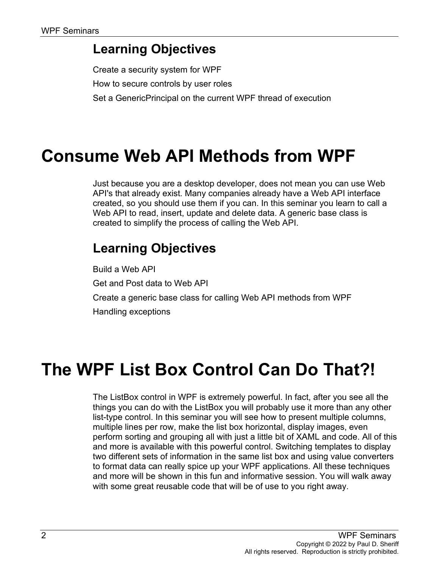#### **Learning Objectives**

Create a security system for WPF How to secure controls by user roles Set a GenericPrincipal on the current WPF thread of execution

## **Consume Web API Methods from WPF**

Just because you are a desktop developer, does not mean you can use Web API's that already exist. Many companies already have a Web API interface created, so you should use them if you can. In this seminar you learn to call a Web API to read, insert, update and delete data. A generic base class is created to simplify the process of calling the Web API.

### **Learning Objectives**

Build a Web API Get and Post data to Web API Create a generic base class for calling Web API methods from WPF Handling exceptions

## **The WPF List Box Control Can Do That?!**

The ListBox control in WPF is extremely powerful. In fact, after you see all the things you can do with the ListBox you will probably use it more than any other list-type control. In this seminar you will see how to present multiple columns, multiple lines per row, make the list box horizontal, display images, even perform sorting and grouping all with just a little bit of XAML and code. All of this and more is available with this powerful control. Switching templates to display two different sets of information in the same list box and using value converters to format data can really spice up your WPF applications. All these techniques and more will be shown in this fun and informative session. You will walk away with some great reusable code that will be of use to you right away.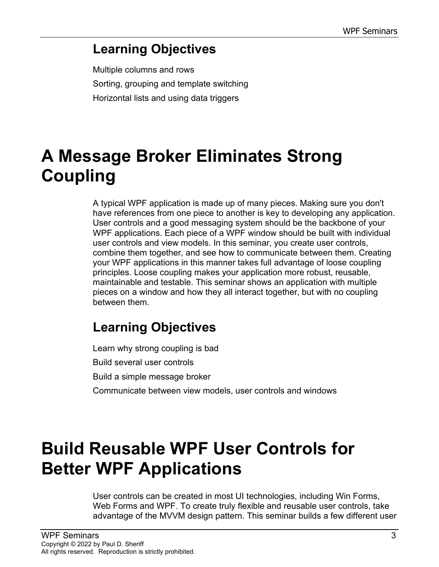#### **Learning Objectives**

Multiple columns and rows Sorting, grouping and template switching Horizontal lists and using data triggers

# **A Message Broker Eliminates Strong Coupling**

A typical WPF application is made up of many pieces. Making sure you don't have references from one piece to another is key to developing any application. User controls and a good messaging system should be the backbone of your WPF applications. Each piece of a WPF window should be built with individual user controls and view models. In this seminar, you create user controls, combine them together, and see how to communicate between them. Creating your WPF applications in this manner takes full advantage of loose coupling principles. Loose coupling makes your application more robust, reusable, maintainable and testable. This seminar shows an application with multiple pieces on a window and how they all interact together, but with no coupling between them.

### **Learning Objectives**

Learn why strong coupling is bad Build several user controls Build a simple message broker Communicate between view models, user controls and windows

## **Build Reusable WPF User Controls for Better WPF Applications**

User controls can be created in most UI technologies, including Win Forms, Web Forms and WPF. To create truly flexible and reusable user controls, take advantage of the MVVM design pattern. This seminar builds a few different user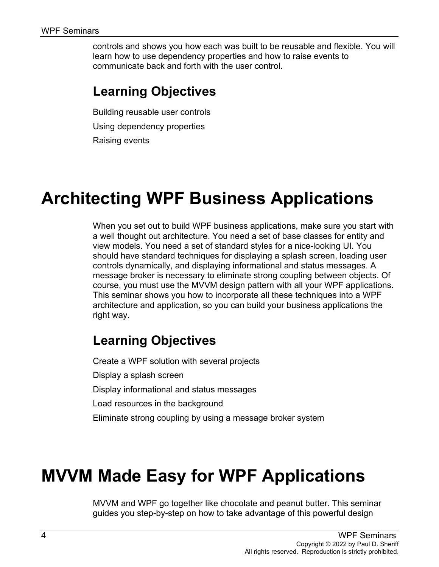controls and shows you how each was built to be reusable and flexible. You will learn how to use dependency properties and how to raise events to communicate back and forth with the user control.

#### **Learning Objectives**

Building reusable user controls Using dependency properties Raising events

# **Architecting WPF Business Applications**

When you set out to build WPF business applications, make sure you start with a well thought out architecture. You need a set of base classes for entity and view models. You need a set of standard styles for a nice-looking UI. You should have standard techniques for displaying a splash screen, loading user controls dynamically, and displaying informational and status messages. A message broker is necessary to eliminate strong coupling between objects. Of course, you must use the MVVM design pattern with all your WPF applications. This seminar shows you how to incorporate all these techniques into a WPF architecture and application, so you can build your business applications the right way.

### **Learning Objectives**

Create a WPF solution with several projects Display a splash screen Display informational and status messages Load resources in the background Eliminate strong coupling by using a message broker system

# **MVVM Made Easy for WPF Applications**

MVVM and WPF go together like chocolate and peanut butter. This seminar guides you step-by-step on how to take advantage of this powerful design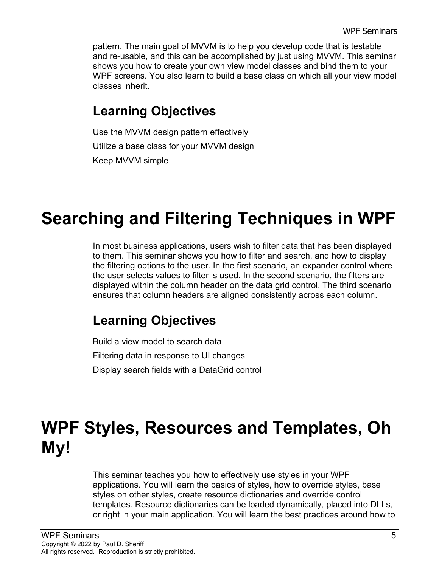pattern. The main goal of MVVM is to help you develop code that is testable and re-usable, and this can be accomplished by just using MVVM. This seminar shows you how to create your own view model classes and bind them to your WPF screens. You also learn to build a base class on which all your view model classes inherit.

#### **Learning Objectives**

Use the MVVM design pattern effectively Utilize a base class for your MVVM design Keep MVVM simple

# **Searching and Filtering Techniques in WPF**

In most business applications, users wish to filter data that has been displayed to them. This seminar shows you how to filter and search, and how to display the filtering options to the user. In the first scenario, an expander control where the user selects values to filter is used. In the second scenario, the filters are displayed within the column header on the data grid control. The third scenario ensures that column headers are aligned consistently across each column.

### **Learning Objectives**

Build a view model to search data Filtering data in response to UI changes Display search fields with a DataGrid control

# **WPF Styles, Resources and Templates, Oh My!**

This seminar teaches you how to effectively use styles in your WPF applications. You will learn the basics of styles, how to override styles, base styles on other styles, create resource dictionaries and override control templates. Resource dictionaries can be loaded dynamically, placed into DLLs, or right in your main application. You will learn the best practices around how to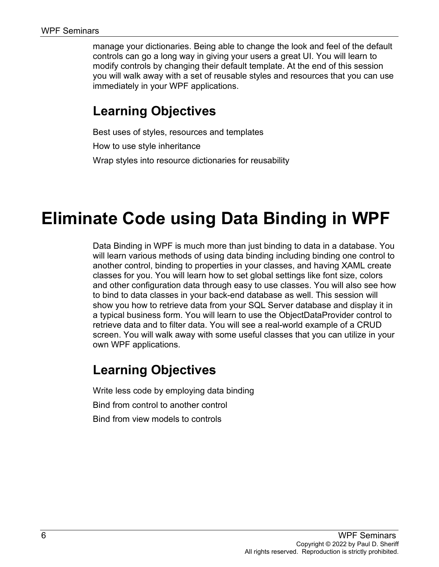manage your dictionaries. Being able to change the look and feel of the default controls can go a long way in giving your users a great UI. You will learn to modify controls by changing their default template. At the end of this session you will walk away with a set of reusable styles and resources that you can use immediately in your WPF applications.

#### **Learning Objectives**

Best uses of styles, resources and templates How to use style inheritance Wrap styles into resource dictionaries for reusability

## **Eliminate Code using Data Binding in WPF**

Data Binding in WPF is much more than just binding to data in a database. You will learn various methods of using data binding including binding one control to another control, binding to properties in your classes, and having XAML create classes for you. You will learn how to set global settings like font size, colors and other configuration data through easy to use classes. You will also see how to bind to data classes in your back-end database as well. This session will show you how to retrieve data from your SQL Server database and display it in a typical business form. You will learn to use the ObjectDataProvider control to retrieve data and to filter data. You will see a real-world example of a CRUD screen. You will walk away with some useful classes that you can utilize in your own WPF applications.

#### **Learning Objectives**

Write less code by employing data binding

Bind from control to another control

Bind from view models to controls